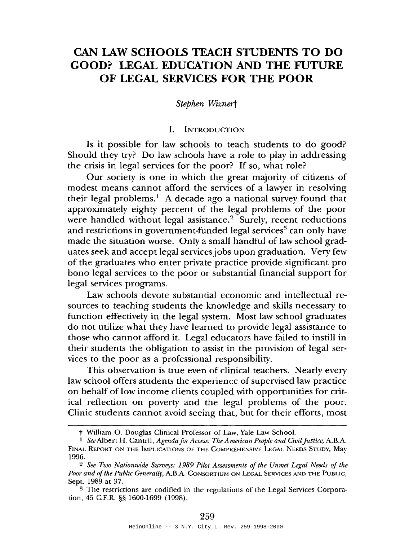# **CAN LAW SCHOOLS TEACH STUDENTS TO DO GOOD? LEGAL EDUCATION AND THE FUTURE OF LEGAL SERVICES FOR THE POOR**

#### *Stephen Wiznert*

#### I. INTRODUCTION

Is it possible for law schools to teach students to do good? Should they try? Do law schools have a role to play in addressing the crisis in legal services for the poor? If so, what role?

Our society is one in which the great majority of citizens of modest means cannot afford the services of a lawyer in resolving their legal problems.<sup>1</sup> A decade ago a national survey found that approximately eighty percent of the legal problems of the poor were handled without legal assistance.<sup>2</sup> Surely, recent reductions and restrictions in government-funded legal services<sup>3</sup> can only have made the situation worse. Only a small handful of law school graduates seek and accept legal servicesjobs upon graduation. Very few of the graduates who enter private practice provide significant pro bono legal services to the poor or substantial financial support for legal services programs.

Law schools devote substantial economic and intellectual resources to teaching students the knowledge and skills necessary to function effectively in the legal system. Most law school graduates do not utilize what they have learned to provide legal assistance to those who cannot afford it. Legal educators have failed to instill in their students the obligation to assist in the provision of legal services to the poor as a professional responsibility.

This observation is true even of clinical teachers. Nearly every law school offers students the experience of supervised law practice on behalf of low income clients coupled with opportunities for critical reflection on poverty and the legal problems of the poor. Clinic students cannot avoid seeing that, but for their efforts, most

t William O. Douglas Clinical Professor of Law, Yale Law School.

<sup>I</sup> *See* Albert H. Cantril, *Agenda for Access: The A merican People and Civiljustice,* A.B.A. FINAL REPORT ON THE IMPLICATIONS OF THE COMPREHENSIVE LEGAL NEEDS STUDY, May 1996.

<sup>2</sup> *See Two Nationwide Surveys:* 1989 *Pilot Assessments of the Unmet Legal Needs of the* Poor and of the Public Generally, A.B.A. CONSORTIUM ON LEGAL SERVICES AND THE PUBLIC, Sept. 1989 at 37.

<sup>3</sup> The restrictions are codified in the regulations of the Legal Services Corporation, 45 C.F.R. §§ 1600-1699 (1998).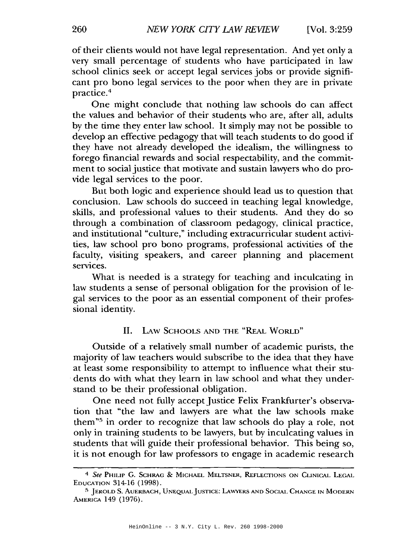of their clients would not have legal representation. And yet only a very small percentage of students who have participated in law school clinics seek or accept legal services jobs or provide significant pro bono legal services to the poor when they are in private practice.<sup>4</sup>

One might conclude that nothing law schools do can affect the values and behavior of their students who are, after all, adults by the time they enter law school. It simply may not be possible to develop an effective pedagogy that will teach students to do good if they have not already developed the idealism, the willingness to forego financial rewards and social respectability, and the commitment to social justice that motivate and sustain lawyers who do provide legal services to the poor.

But both logic and experience should lead us to question that conclusion. Law schools do succeed in teaching legal knowledge, skills, and professional values to their students. And they do so through a combination of classroom pedagogy, clinical practice, and institutional "culture," including extracurricular student activities, law school pro bono programs, professional activities of the faculty, visiting speakers, and career planning and placement services.

What is needed is a strategy for teaching and inculcating in law students a sense of personal obligation for the provision of legal services to the poor as an essential component of their professional identity.

## II. LAw SCHOOLS AND THE "REAL WORLD"

Outside of a relatively small number of academic purists, the majority of law teachers would subscribe to the idea that they have at least some responsibility to attempt to influence what their stu- . dents do with what they learn in law school and what they understand to be their professional obligation.

One need not fully accept Justice Felix Frankfurter's observation that "the law and lawyers are what the law schools make them"5 in order to recognize that law schools do play a role, not only in training students to be lawyers, but by inculcating values in students that will guide their professional behavior. This being so, it is not enough for law professors to engage in academic research

*<sup>4</sup> See* PHILIP G. SCHRAG & MICHAEL MELTSNER, REFLECTIONS ON CLINICAL LEGAL EDUCATION 314-16 (1998).

<sup>5</sup> JEROLD S. AUERBACH, UNEQUALJUSTICE: LAWYERS AND SOCIAL CHANGE IN MODERN AMERICA 149 (1976).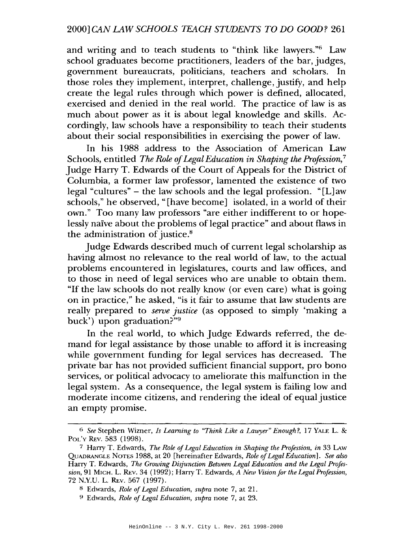and writing and to teach students to "think like lawyers."<sup>6</sup> Law school graduates become practitioners, leaders of the bar, judges, government bureaucrats, politicians, teachers and scholars. In those roles they implement, interpret, challenge, justify, and help create the legal rules through which power is defined, allocated, exercised and denied in the real world. The practice of law is as much about power as it is about legal knowledge and skills. Accordingly, law schools have a responsibility to teach their students about their social responsibilities in exercising the power of law.

In his 1988 address to the Association of American Law Schools, entitled *The* Role *ofLegalEducation in Shaping the Profession,* <sup>7</sup> Judge Harry T. Edwards of the Court of Appeals for the District of Columbia, a former law professor, lamented the existence of two legal "cultures" - the law schools and the legal profession. "[L] aw schools," he observed, "[have become] isolated, in a world of their own." Too many law professors "are either indifferent to or hopelessly naive about the problems of legal practice" and about flaws in the administration of justice.<sup>8</sup>

Judge Edwards described much of current legal scholarship as having almost no relevance to the real world of law, to the actual problems encountered in legislatures, courts and law offices, and to those in need of legal services who are unable to obtain them. "If the law schools do not really know (or even care) what is going on in practice," he asked, "is it fair to assume that law students are really prepared to *serve justice* (as opposed to simply 'making a buck') upon graduation?"9

In the real world, to which Judge Edwards referred, the demand for legal assistance by those unable to afford it is increasing while government funding for legal services has decreased. The private bar has not provided sufficient financial support, pro bono services, or political advocacy to ameliorate this malfunction in the legal system. As a consequence, the legal system is failing low and moderate income citizens, and rendering the ideal of equal justice an empty promise.

fi *See* Stephen Wizner, *Is Learning to "Think Like a Lawyer" Enough?,* 17 YALE L. & POL'y REv. 583 (1998).

<sup>7</sup> Harry T. Edwards, *The Role ofLegal Education in Shaping the Profession, in* 33 LAw QUADRANGLE NOTES 1988, at 20 [hereinafter Edwards, *Role ofLegal Education]. See also* Harry T. Edwards, *The Growing Disjunction Between Legal Education and the Legal Profession,* 91 MICH. L. REv. 34 (1992); Harry T. Edwards, *A New Vision for the Legal Profession,* 72 N.Y.U. L. REv. 567 (1997).

<sup>8</sup> Edwards, *Role of Legal Education, supra* note 7, at 21.

<sup>9</sup> Edwards, *Role ofLegal Education, supra* note 7, at 23.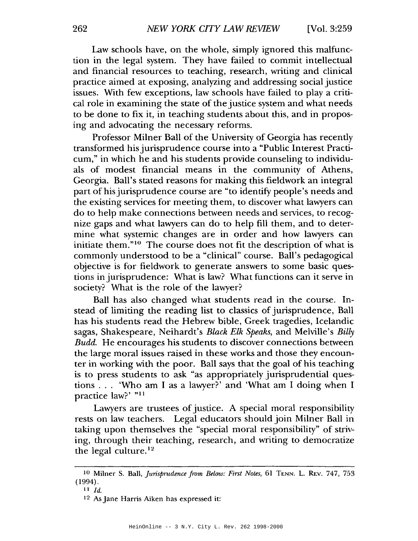Law schools have, on the whole, simply ignored this malfunction in the legal system. They have failed to commit intellectual and financial resources to teaching, research, writing and clinical practice aimed at exposing, analyzing and addressing social justice issues. With few exceptions, law schools have failed to play a critical role in examining the state of the justice system and what needs to be done to fix it, in teaching students about this, and in proposing and advocating the necessary reforms.

Professor Milner Ball of the University of Georgia has recently transformed hisjurisprudence course into a "Public Interest Practicum," in which he and his students provide counseling to individuals of modest financial means in the community of Athens, Georgia. Ball's stated reasons for making this fieldwork an integral part of hisjurisprudence course are "to identify people's needs and the existing services for meeting them, to discover what lawyers can do to help make connections between needs and services, to recognize gaps and what lawyers can do to help fill them, and to determine what systemic changes are in order and how lawyers can initiate them."<sup>10</sup> The course does not fit the description of what is commonly understood to be a "clinical" course. Ball's pedagogical objective is for fieldwork to generate answers to some basic questions in jurisprudence: What is law? What functions can it serve in society? What is the role of the lawyer?

Ball has also changed what students read in the course. Instead of limiting the reading list to classics of jurisprudence, Ball has his students read the Hebrew bible, Greek tragedies, Icelandic sagas, Shakespeare, Neihardt's *Black Elk Speaks,* and Melville's *Billy* Budd. He encourages his students to discover connections between the large moral issues raised in these works and those they encounter in working with the poor. Ball says that the goal of his teaching is to press students to ask "as appropriately jurisprudential questions ... 'Who am <sup>I</sup> as <sup>a</sup> lawyer?' and 'What am <sup>I</sup> doing when <sup>I</sup> practice law?' "11

Lawyers are trustees of justice. A special moral responsibility rests on law teachers. Legal educators should join Milner Ball in taking upon themselves the "special moral responsibility" of striving, through their teaching, research, and writing to democratize the legal culture. $12$ 

<sup>&</sup>lt;sup>10</sup> Milner S. Ball, *Jurisprudence from Below: First Notes*, 61 TENN. L. REV. 747, 753 (1994).

II *Id.*

<sup>12</sup> As Jane Harris Aiken has expressed it: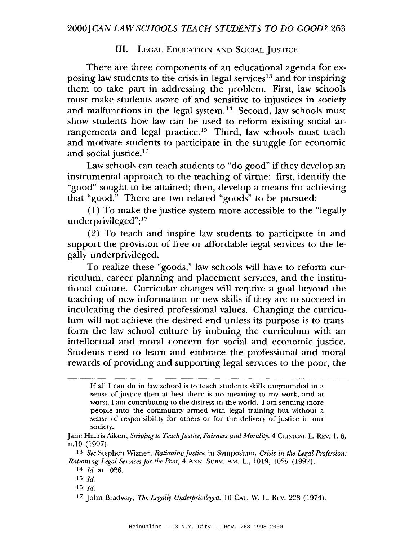## III. LEGAL EDUCATION AND SOCIAL JUSTICE

There are three components of an educational agenda for exposing law students to the crisis in legal services<sup>13</sup> and for inspiring them to take part in addressing the problem. First, law schools must make students aware of and sensitive to injustices in society and malfunctions in the legal system.<sup>14</sup> Second, law schools must show students how law can be used to reform existing social arrangements and legal practice.<sup>15</sup> Third, law schools must teach and motivate students to participate in the struggle for economic and social justice.16

Law schools can teach students to "do good" if they develop an instrumental approach to the teaching of virtue: first, identify the "good" sought to be attained; then, develop a means for achieving that "good." There are two related "goods" to be pursued:

(1) To make the justice system more accessible to the "legally underprivileged";17

(2) To teach and inspire law students to participate in and support the provision of free or affordable legal services to the legally underprivileged.

To realize these "goods," law schools will have to reform curriculum, career planning and placement services, and the institutional culture. Curricular changes will require a goal beyond the teaching of new information or new skills if they are to succeed in inculcating the desired professional values. Changing the curriculum will not achieve the desired end unless its purpose is to transform the law school culture by imbuing the curriculum with an intellectual and moral concern for social and economic justice. Students need to learn and embrace the professional and moral rewards of providing and supporting legal services to the poor, the

- 15 *Id.*
- 16 Id.

If all I can do in law school is to teach students skills ungrounded in a sense of justice then at best there is no meaning to my work, and at worst, I am contributing to the distress in the world. I am sending more people into the community armed with legal training but without a sense of responsibility for others or for the delivery of justice in our society.

Jane Harris Aiken, *Striving to TeachJustice, Fairness and Morality,* 4 CLINICAL L. REv. 1,6, n.1O (1997).

<sup>13</sup> *See* Stephen Wimer, *RationingJustice,* in Symposium, *Crisis in the Legal Profession: Rationing Legal Services for the Poor,* 4 ANN. SURV. AM. L., 1019, 1025 (1997).

<sup>14</sup> *Id.* at 1026.

<sup>17</sup> John Bradway, *The Legally Underprivileged,* 10 CAL. W. L. REv. 228 (1974).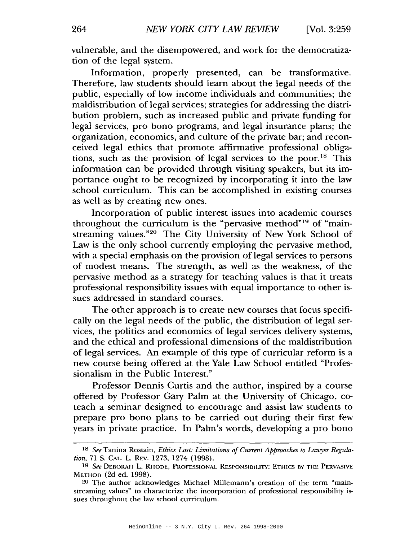vulnerable, and the disempowered, and work for the democratization of the legal system.

Information, properly presented, can be transformative. Therefore, law students should learn about the legal needs of the public, especially of low income individuals and communities; the maldistribution of legal services; strategies for addressing the distribution problem, such as increased public and private funding for legal services, pro bono programs, and legal insurance plans; the organization, economics, and culture of the private bar; and reconceived legal ethics that promote affirmative professional obligations, such as the provision of legal services to the poor.<sup>18</sup> This information can be provided through visiting speakers, but its importance ought to be recognized by incorporating it into the law school curriculum. This can be accomplished in existing courses as well as by creating new ones.

Incorporation of public interest issues into academic courses throughout the curriculum is the "pervasive method"19 of "mainstreaming values."20 The City University of New York School of Law is the only school currently employing the pervasive method, with a special emphasis on the provision of legal services to persons of modest means. The strength, as well as the weakness, of the pervasive method as a strategy for teaching values is that it treats professional responsibility issues with equal importance to other issues addressed in standard courses.

The other approach is to create new courses that focus specifically on the legal needs of the public, the distribution of legal services, the politics and economics of legal services delivery systems, and the ethical and professional dimensions of the maldistribution of legal services. An example of this type of curricular reform is a new course being offered at the Yale Law School entitled "Professionalism in the Public Interest."

Professor Dennis Curtis and the author, inspired by a course offered by Professor Gary Palm at the University of Chicago, coteach a seminar designed to encourage and assist law students to prepare pro bono plans to be carried out during their first few years in private practice. In Palm's words, developing a pro bono

IS *See* Tanina Rostain, *Ethics Lost: Limitations of Current Approaches to Lawyer* Regula*tion,* 71 S. CAL. L. REv. 1273, 1274 (1998).

<sup>19</sup> *See* DEBORAH L. RHODE, PROFESSIONAL REsPONSIBILny: ETHICS BY THE PERVASIVE METHOD (2d ed. 1998).

<sup>20</sup> The author acknowledges Michael Millemann's creation of the term "mainstreaming values" to characterize the incorporation of professional responsibility issues throughout the law school curriculum.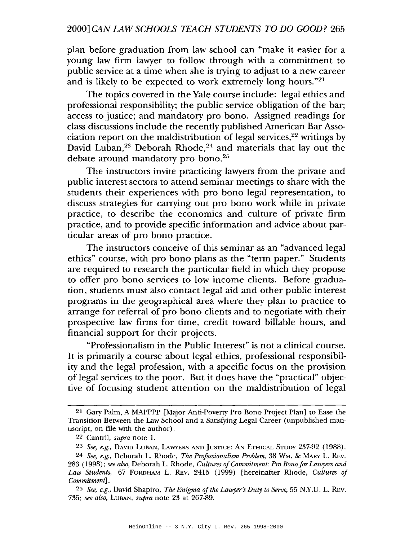## 2000] *CAN LAW SCHOOLS TEACH STUDENTS TO DO GOOD? 265*

plan before graduation from law school can "make it easier for a young law firm lawyer to follow through with a commitment to public service at a time when she is trying to adjust to a new career and is likely to be expected to work extremely long hours."21

The topics covered in the Yale course include: legal ethics and professional responsibility; the public service obligation of the bar; access to justice; and mandatory pro bono. Assigned readings for class discussions include the recently published American Bar Association report on the maldistribution of legal services, $22$  writings by David Luban,<sup>23</sup> Deborah Rhode,<sup>24</sup> and materials that lay out the debate around mandatory pro bono.<sup>25</sup>

The instructors invite practicing lawyers from the private and public interest sectors to attend seminar meetings to share with the students their experiences with pro bono legal representation, to discuss strategies for carrying out pro bono work while in private practice, to describe the economics and culture of private firm practice, and to provide specific information and advice about particular areas of pro bono practice.

The instructors conceive of this seminar as an "advanced legal ethics" course, with pro bono plans as the "term paper." Students are required to research the particular field in which they propose to offer pro bono services to low income clients. Before graduation, students must also contact legal aid and other public interest programs in the geographical area where they plan to practice to arrange for referral of pro bono clients and to negotiate with their prospective law firms for time, credit toward billable hours, and financial support for their projects.

"Professionalism in the Public Interest" is not a clinical course. It is primarily a course about legal ethics, professional responsibility and the legal profession, with a specific focus on the provision of legal services to the poor. But it does have the "practical" objective of focusing student attention on the maldistribution of legal

<sup>21</sup> Gary Palm, A MAPPPP [Major Anti-Poverty Pro Bono Project Plan] to Ease the Transition Between the Law School and a Satistying Legal Career (unpublished manuscript, on file with the author).

<sup>22</sup> Cantril, *supra* note 1.

<sup>23</sup> *See, e.g.,* DAVID LUBAN, LAWYERS AND JUSTICE: AN ETHICAL STUDY 237-92 (1988).

<sup>24</sup> *See, e.g.,* Deborah L. Rhode, *The Professionalism Problem,* 38 WM. & MARy L. REv. 283 (1998); *see also,* Deborah L. Rhode, *Cultures ofCommitment: Pro Bono for Lawyers and Law Students,* 67 FORDHAM L. REv. 2415 (1999) [hereinafter Rhode, *Cultures of Commitment] .*

*<sup>25</sup> See, e.g.,* David Shapiro, *The Enigma ofthe Lawyer's Duty to Serve,* 55 *N.Y.V.* L. REv. *735; see also,* LUBAN, *supra* note 23 at 267-89.